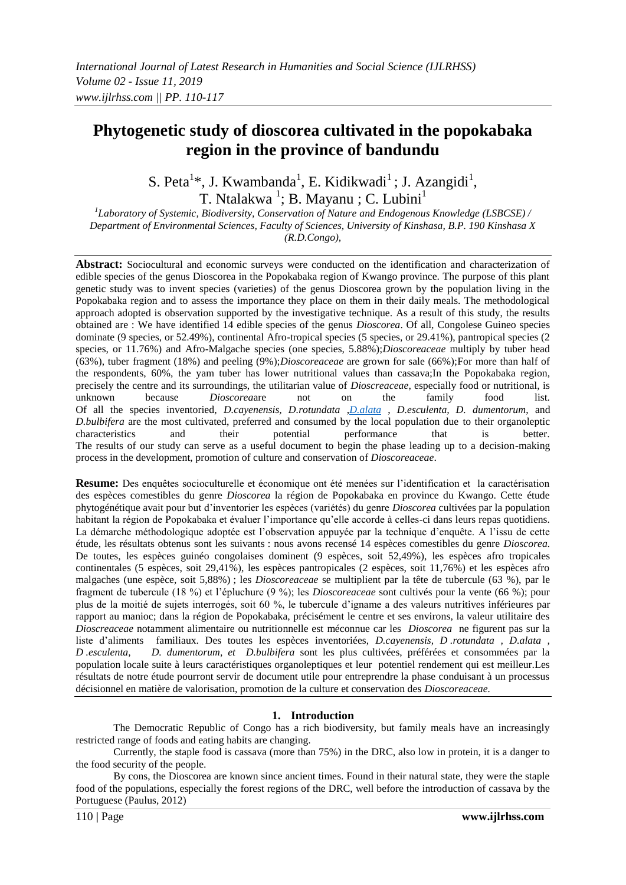# **Phytogenetic study of dioscorea cultivated in the popokabaka region in the province of bandundu**

S. Peta<sup>1\*</sup>, J. Kwambanda<sup>1</sup>, E. Kidikwadi<sup>1</sup>; J. Azangidi<sup>1</sup>, T. Ntalakwa<sup>1</sup>; B. Mayanu ; C. Lubini<sup>1</sup>

*1 Laboratory of Systemic, Biodiversity, Conservation of Nature and Endogenous Knowledge (LSBCSE) / Department of Environmental Sciences, Faculty of Sciences, University of Kinshasa, B.P. 190 Kinshasa X (R.D.Congo),*

**Abstract:** Sociocultural and economic surveys were conducted on the identification and characterization of edible species of the genus Dioscorea in the Popokabaka region of Kwango province. The purpose of this plant genetic study was to invent species (varieties) of the genus Dioscorea grown by the population living in the Popokabaka region and to assess the importance they place on them in their daily meals. The methodological approach adopted is observation supported by the investigative technique. As a result of this study, the results obtained are : We have identified 14 edible species of the genus *Dioscorea*. Of all, Congolese Guineo species dominate (9 species, or 52.49%), continental Afro-tropical species (5 species, or 29.41%), pantropical species (2 species, or 11.76%) and Afro-Malgache species (one species, 5.88%);*Dioscoreaceae* multiply by tuber head (63%), tuber fragment (18%) and peeling (9%);*Dioscoreaceae* are grown for sale (66%);For more than half of the respondents, 60%, the yam tuber has lower nutritional values than cassava;In the Popokabaka region, precisely the centre and its surroundings, the utilitarian value of *Dioscreaceae*, especially food or nutritional, is unknown because *Dioscorea*are not on the family food list. Of all the species inventoried, *D.cayenensis, D.rotundata* ,*[D.alata](https://ssl.microsofttranslator.com/bv.aspx?ref=TAns&from=&to=en&a=D.alata)* , *D.esculenta, D. dumentorum*, and *D.bulbifera* are the most cultivated, preferred and consumed by the local population due to their organoleptic characteristics and their potential performance that is better. The results of our study can serve as a useful document to begin the phase leading up to a decision-making process in the development, promotion of culture and conservation of *Dioscoreaceae*.

**Resume:** Des enquêtes socioculturelle et économique ont été menées sur l'identification et la caractérisation des espèces comestibles du genre *Dioscorea* la région de Popokabaka en province du Kwango. Cette étude phytogénétique avait pour but d'inventorier les espèces (variétés) du genre *Dioscorea* cultivées par la population habitant la région de Popokabaka et évaluer l'importance qu'elle accorde à celles-ci dans leurs repas quotidiens. La démarche méthodologique adoptée est l'observation appuyée par la technique d'enquête. A l'issu de cette étude, les résultats obtenus sont les suivants : nous avons recensé 14 espèces comestibles du genre *Dioscorea.* De toutes, les espèces guinéo congolaises dominent (9 espèces, soit 52,49%), les espèces afro tropicales continentales (5 espèces, soit 29,41%), les espèces pantropicales (2 espèces, soit 11,76%) et les espèces afro malgaches (une espèce, soit 5,88%) ; les *Dioscoreaceae* se multiplient par la tête de tubercule (63 %), par le fragment de tubercule (18 %) et l'épluchure (9 %); les *Dioscoreaceae* sont cultivés pour la vente (66 %); pour plus de la moitié de sujets interrogés, soit 60 %, le tubercule d'igname a des valeurs nutritives inférieures par rapport au manioc; dans la région de Popokabaka, précisément le centre et ses environs, la valeur utilitaire des *Dioscreaceae* notamment alimentaire ou nutritionnelle est méconnue car les *Dioscorea* ne figurent pas sur la liste d'aliments familiaux. Des toutes les espèces inventoriées, *D.cayenensis, D .rotundata , D.alata , D .esculenta, D. dumentorum, et D.bulbifera* sont les plus cultivées, préférées et consommées par la population locale suite à leurs caractéristiques organoleptiques et leur potentiel rendement qui est meilleur.Les résultats de notre étude pourront servir de document utile pour entreprendre la phase conduisant à un processus décisionnel en matière de valorisation, promotion de la culture et conservation des *Dioscoreaceae.*

### **1. Introduction**

The Democratic Republic of Congo has a rich biodiversity, but family meals have an increasingly restricted range of foods and eating habits are changing.

Currently, the staple food is cassava (more than 75%) in the DRC, also low in protein, it is a danger to the food security of the people.

By cons, the Dioscorea are known since ancient times. Found in their natural state, they were the staple food of the populations, especially the forest regions of the DRC, well before the introduction of cassava by the Portuguese (Paulus, 2012)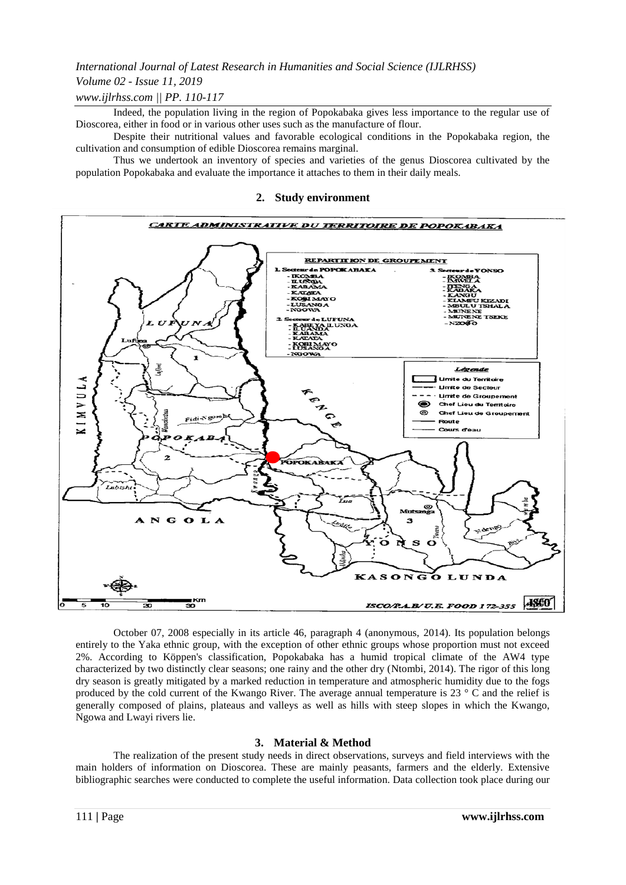### *Volume 02 - Issue 11, 2019*

### *www.ijlrhss.com || PP. 110-117*

Indeed, the population living in the region of Popokabaka gives less importance to the regular use of Dioscorea, either in food or in various other uses such as the manufacture of flour.

Despite their nutritional values and favorable ecological conditions in the Popokabaka region, the cultivation and consumption of edible Dioscorea remains marginal.

Thus we undertook an inventory of species and varieties of the genus Dioscorea cultivated by the population Popokabaka and evaluate the importance it attaches to them in their daily meals.

#### **2. Study environment**



October 07, 2008 especially in its article 46, paragraph 4 (anonymous, 2014). Its population belongs entirely to the Yaka ethnic group, with the exception of other ethnic groups whose proportion must not exceed 2%. According to Köppen's classification, Popokabaka has a humid tropical climate of the AW4 type characterized by two distinctly clear seasons; one rainy and the other dry (Ntombi, 2014). The rigor of this long dry season is greatly mitigated by a marked reduction in temperature and atmospheric humidity due to the fogs produced by the cold current of the Kwango River. The average annual temperature is 23 ° C and the relief is generally composed of plains, plateaus and valleys as well as hills with steep slopes in which the Kwango, Ngowa and Lwayi rivers lie.

### **3. Material & Method**

The realization of the present study needs in direct observations, surveys and field interviews with the main holders of information on Dioscorea. These are mainly peasants, farmers and the elderly. Extensive bibliographic searches were conducted to complete the useful information. Data collection took place during our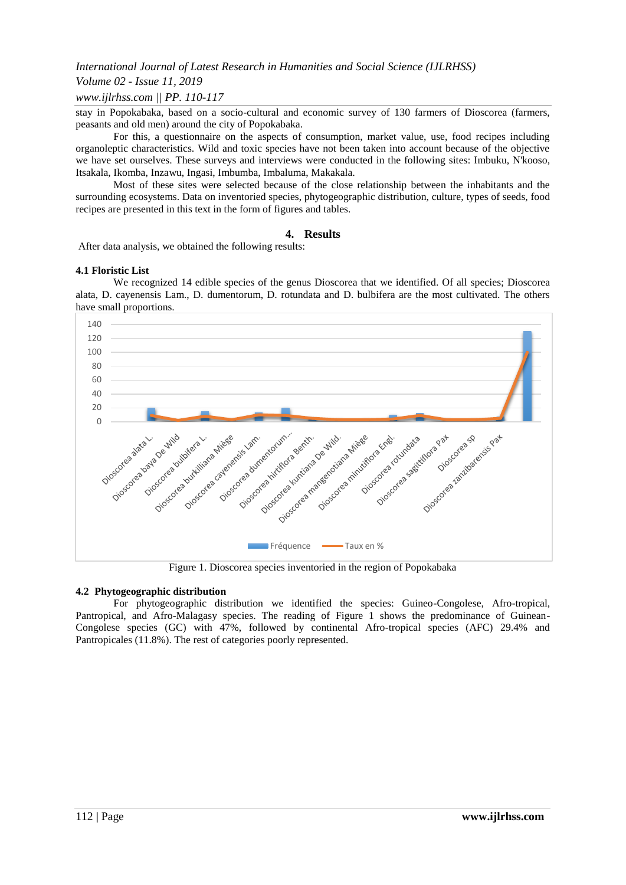### *Volume 02 - Issue 11, 2019*

### *www.ijlrhss.com || PP. 110-117*

stay in Popokabaka, based on a socio-cultural and economic survey of 130 farmers of Dioscorea (farmers, peasants and old men) around the city of Popokabaka.

For this, a questionnaire on the aspects of consumption, market value, use, food recipes including organoleptic characteristics. Wild and toxic species have not been taken into account because of the objective we have set ourselves. These surveys and interviews were conducted in the following sites: Imbuku, N'kooso, Itsakala, Ikomba, Inzawu, Ingasi, Imbumba, Imbaluma, Makakala.

Most of these sites were selected because of the close relationship between the inhabitants and the surrounding ecosystems. Data on inventoried species, phytogeographic distribution, culture, types of seeds, food recipes are presented in this text in the form of figures and tables.

#### **4. Results**

After data analysis, we obtained the following results:

#### **4.1 Floristic List**

We recognized 14 edible species of the genus Dioscorea that we identified. Of all species; Dioscorea alata, D. cayenensis Lam., D. dumentorum, D. rotundata and D. bulbifera are the most cultivated. The others have small proportions.



Figure 1. Dioscorea species inventoried in the region of Popokabaka

#### **4.2 Phytogeographic distribution**

For phytogeographic distribution we identified the species: Guineo-Congolese, Afro-tropical, Pantropical, and Afro-Malagasy species. The reading of Figure 1 shows the predominance of Guinean-Congolese species (GC) with 47%, followed by continental Afro-tropical species (AFC) 29.4% and Pantropicales (11.8%). The rest of categories poorly represented.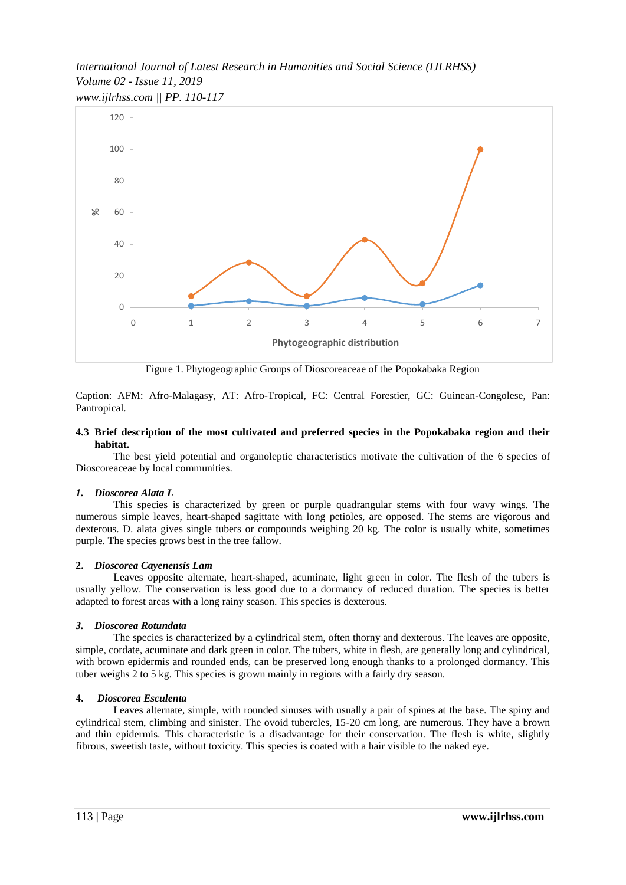*International Journal of Latest Research in Humanities and Social Science (IJLRHSS) Volume 02 - Issue 11, 2019 www.ijlrhss.com || PP. 110-117*



Figure 1. Phytogeographic Groups of Dioscoreaceae of the Popokabaka Region

Caption: AFM: Afro-Malagasy, AT: Afro-Tropical, FC: Central Forestier, GC: Guinean-Congolese, Pan: Pantropical.

#### **4.3 Brief description of the most cultivated and preferred species in the Popokabaka region and their habitat.**

The best yield potential and organoleptic characteristics motivate the cultivation of the 6 species of Dioscoreaceae by local communities.

### *1. Dioscorea Alata L*

This species is characterized by green or purple quadrangular stems with four wavy wings. The numerous simple leaves, heart-shaped sagittate with long petioles, are opposed. The stems are vigorous and dexterous. D. alata gives single tubers or compounds weighing 20 kg. The color is usually white, sometimes purple. The species grows best in the tree fallow.

#### **2.** *Dioscorea Cayenensis Lam*

Leaves opposite alternate, heart-shaped, acuminate, light green in color. The flesh of the tubers is usually yellow. The conservation is less good due to a dormancy of reduced duration. The species is better adapted to forest areas with a long rainy season. This species is dexterous.

#### *3. Dioscorea Rotundata*

The species is characterized by a cylindrical stem, often thorny and dexterous. The leaves are opposite, simple, cordate, acuminate and dark green in color. The tubers, white in flesh, are generally long and cylindrical, with brown epidermis and rounded ends, can be preserved long enough thanks to a prolonged dormancy. This tuber weighs 2 to 5 kg. This species is grown mainly in regions with a fairly dry season.

#### **4.** *Dioscorea Esculenta*

Leaves alternate, simple, with rounded sinuses with usually a pair of spines at the base. The spiny and cylindrical stem, climbing and sinister. The ovoid tubercles, 15-20 cm long, are numerous. They have a brown and thin epidermis. This characteristic is a disadvantage for their conservation. The flesh is white, slightly fibrous, sweetish taste, without toxicity. This species is coated with a hair visible to the naked eye.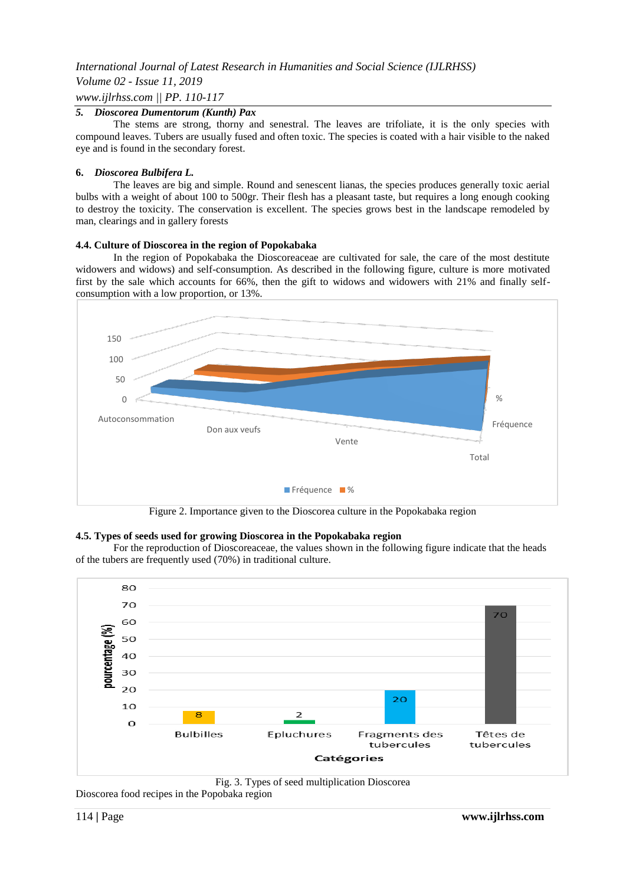### *Volume 02 - Issue 11, 2019*

### *www.ijlrhss.com || PP. 110-117*

### *5. Dioscorea Dumentorum (Kunth) Pax*

The stems are strong, thorny and senestral. The leaves are trifoliate, it is the only species with compound leaves. Tubers are usually fused and often toxic. The species is coated with a hair visible to the naked eye and is found in the secondary forest.

#### **6.** *Dioscorea Bulbifera L.*

The leaves are big and simple. Round and senescent lianas, the species produces generally toxic aerial bulbs with a weight of about 100 to 500gr. Their flesh has a pleasant taste, but requires a long enough cooking to destroy the toxicity. The conservation is excellent. The species grows best in the landscape remodeled by man, clearings and in gallery forests

#### **4.4. Culture of Dioscorea in the region of Popokabaka**

In the region of Popokabaka the Dioscoreaceae are cultivated for sale, the care of the most destitute widowers and widows) and self-consumption. As described in the following figure, culture is more motivated first by the sale which accounts for 66%, then the gift to widows and widowers with 21% and finally selfconsumption with a low proportion, or 13%.



Figure 2. Importance given to the Dioscorea culture in the Popokabaka region

### **4.5. Types of seeds used for growing Dioscorea in the Popokabaka region**

For the reproduction of Dioscoreaceae, the values shown in the following figure indicate that the heads of the tubers are frequently used (70%) in traditional culture.





Dioscorea food recipes in the Popobaka region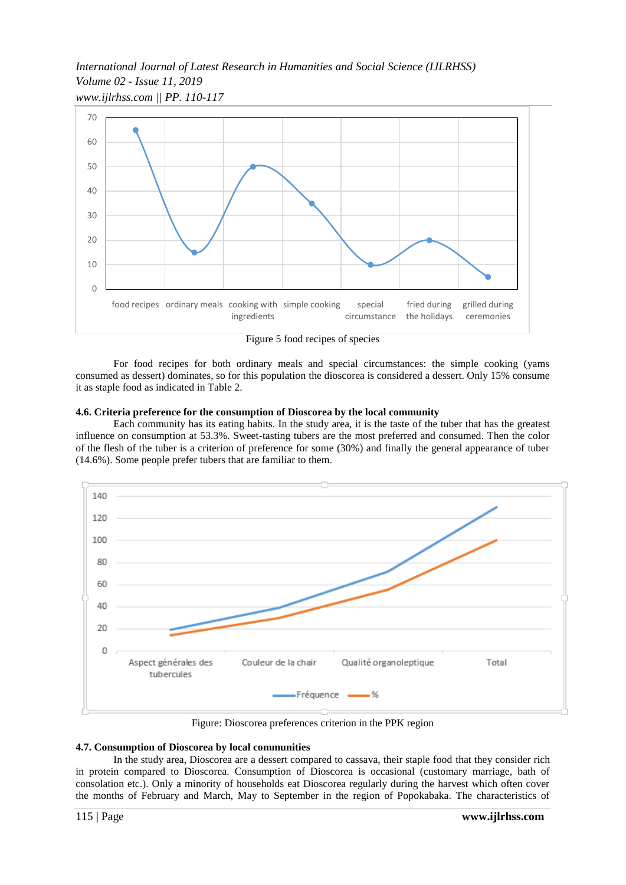*International Journal of Latest Research in Humanities and Social Science (IJLRHSS) Volume 02 - Issue 11, 2019 www.ijlrhss.com || PP. 110-117*



Figure 5 food recipes of species

For food recipes for both ordinary meals and special circumstances: the simple cooking (yams consumed as dessert) dominates, so for this population the dioscorea is considered a dessert. Only 15% consume it as staple food as indicated in Table 2.

#### **4.6. Criteria preference for the consumption of Dioscorea by the local community**

Each community has its eating habits. In the study area, it is the taste of the tuber that has the greatest influence on consumption at 53.3%. Sweet-tasting tubers are the most preferred and consumed. Then the color of the flesh of the tuber is a criterion of preference for some (30%) and finally the general appearance of tuber (14.6%). Some people prefer tubers that are familiar to them.



Figure: Dioscorea preferences criterion in the PPK region

#### **4.7. Consumption of Dioscorea by local communities**

In the study area, Dioscorea are a dessert compared to cassava, their staple food that they consider rich in protein compared to Dioscorea. Consumption of Dioscorea is occasional (customary marriage, bath of consolation etc.). Only a minority of households eat Dioscorea regularly during the harvest which often cover the months of February and March, May to September in the region of Popokabaka. The characteristics of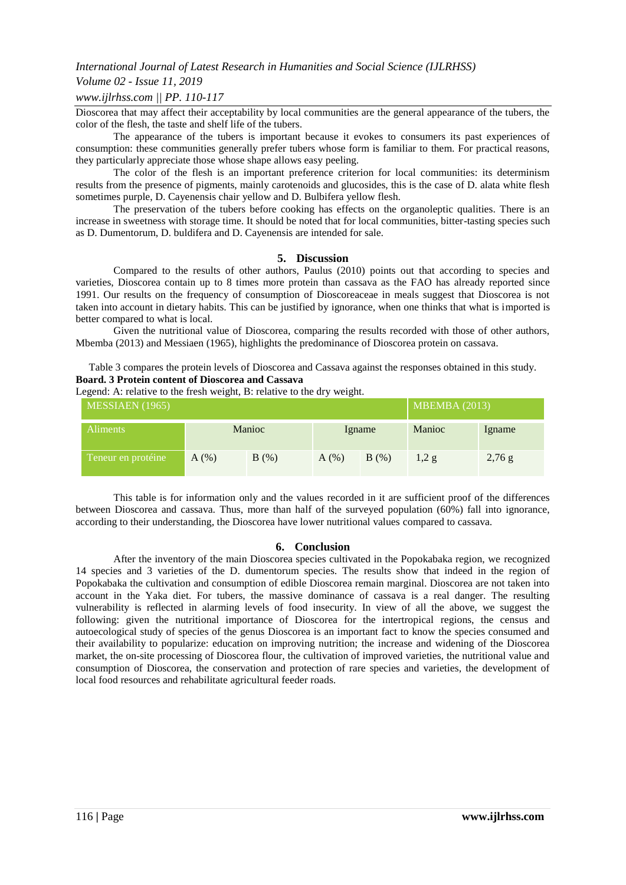### *Volume 02 - Issue 11, 2019*

#### *www.ijlrhss.com || PP. 110-117*

Dioscorea that may affect their acceptability by local communities are the general appearance of the tubers, the color of the flesh, the taste and shelf life of the tubers.

The appearance of the tubers is important because it evokes to consumers its past experiences of consumption: these communities generally prefer tubers whose form is familiar to them. For practical reasons, they particularly appreciate those whose shape allows easy peeling.

The color of the flesh is an important preference criterion for local communities: its determinism results from the presence of pigments, mainly carotenoids and glucosides, this is the case of D. alata white flesh sometimes purple, D. Cayenensis chair yellow and D. Bulbifera yellow flesh.

The preservation of the tubers before cooking has effects on the organoleptic qualities. There is an increase in sweetness with storage time. It should be noted that for local communities, bitter-tasting species such as D. Dumentorum, D. buldifera and D. Cayenensis are intended for sale.

#### **5. Discussion**

Compared to the results of other authors, Paulus (2010) points out that according to species and varieties, Dioscorea contain up to 8 times more protein than cassava as the FAO has already reported since 1991. Our results on the frequency of consumption of Dioscoreaceae in meals suggest that Dioscorea is not taken into account in dietary habits. This can be justified by ignorance, when one thinks that what is imported is better compared to what is local.

Given the nutritional value of Dioscorea, comparing the results recorded with those of other authors, Mbemba (2013) and Messiaen (1965), highlights the predominance of Dioscorea protein on cassava.

Table 3 compares the protein levels of Dioscorea and Cassava against the responses obtained in this study. **Board. 3 Protein content of Dioscorea and Cassava**

Legend: A: relative to the fresh weight, B: relative to the dry weight.

| ັ<br>. .<br>ັ<br>MESSIAEN (1965) |        |      |        |      | <b>MBEMBA</b> (2013) |          |
|----------------------------------|--------|------|--------|------|----------------------|----------|
| <b>Aliments</b>                  | Manioc |      | Igname |      | Manioc               | Igname   |
| Teneur en protéine               | A(%)   | B(%) | A(%)   | B(%) | 1,2g                 | $2,76$ g |

This table is for information only and the values recorded in it are sufficient proof of the differences between Dioscorea and cassava. Thus, more than half of the surveyed population (60%) fall into ignorance, according to their understanding, the Dioscorea have lower nutritional values compared to cassava.

#### **6. Conclusion**

After the inventory of the main Dioscorea species cultivated in the Popokabaka region, we recognized 14 species and 3 varieties of the D. dumentorum species. The results show that indeed in the region of Popokabaka the cultivation and consumption of edible Dioscorea remain marginal. Dioscorea are not taken into account in the Yaka diet. For tubers, the massive dominance of cassava is a real danger. The resulting vulnerability is reflected in alarming levels of food insecurity. In view of all the above, we suggest the following: given the nutritional importance of Dioscorea for the intertropical regions, the census and autoecological study of species of the genus Dioscorea is an important fact to know the species consumed and their availability to popularize: education on improving nutrition; the increase and widening of the Dioscorea market, the on-site processing of Dioscorea flour, the cultivation of improved varieties, the nutritional value and consumption of Dioscorea, the conservation and protection of rare species and varieties, the development of local food resources and rehabilitate agricultural feeder roads.